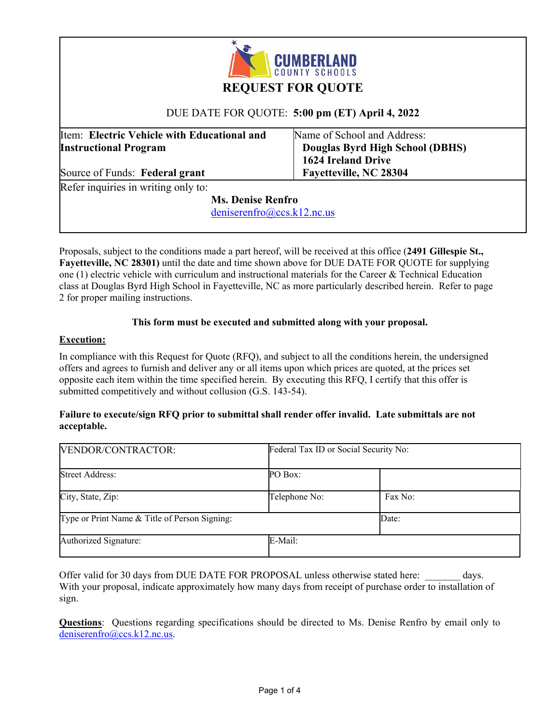

# **REQUEST FOR QUOTE**

## DUE DATE FOR QUOTE: **5:00 pm (ET) April 4, 2022**

Item: **Electric Vehicle with Educational and Instructional Program** 

Name of School and Address:  **Douglas Byrd High School (DBHS) 1624 Ireland Drive Fayetteville, NC 28304** 

Source of Funds: **Federal grant**  Refer inquiries in writing only to:

 **Ms. Denise Renfro** 

deniserenfro@ccs.k12.nc.us

Proposals, subject to the conditions made a part hereof, will be received at this office (**2491 Gillespie St., Fayetteville, NC 28301)** until the date and time shown above for DUE DATE FOR QUOTE for supplying one (1) electric vehicle with curriculum and instructional materials for the Career & Technical Education class at Douglas Byrd High School in Fayetteville, NC as more particularly described herein. Refer to page 2 for proper mailing instructions.

### **This form must be executed and submitted along with your proposal.**

## **Execution:**

In compliance with this Request for Quote (RFQ), and subject to all the conditions herein, the undersigned offers and agrees to furnish and deliver any or all items upon which prices are quoted, at the prices set opposite each item within the time specified herein. By executing this RFQ, I certify that this offer is submitted competitively and without collusion (G.S. 143-54).

### **Failure to execute/sign RFQ prior to submittal shall render offer invalid. Late submittals are not acceptable.**

| VENDOR/CONTRACTOR:                            |               | Federal Tax ID or Social Security No: |  |
|-----------------------------------------------|---------------|---------------------------------------|--|
| <b>Street Address:</b>                        | PO Box:       |                                       |  |
| City, State, Zip:                             | Telephone No: | Fax No:                               |  |
| Type or Print Name & Title of Person Signing: |               | Date:                                 |  |
| Authorized Signature:                         | E-Mail:       |                                       |  |

Offer valid for 30 days from DUE DATE FOR PROPOSAL unless otherwise stated here: days. With your proposal, indicate approximately how many days from receipt of purchase order to installation of sign.

**Questions**: Questions regarding specifications should be directed to Ms. Denise Renfro by email only to deniserenfro@ccs.k12.nc.us.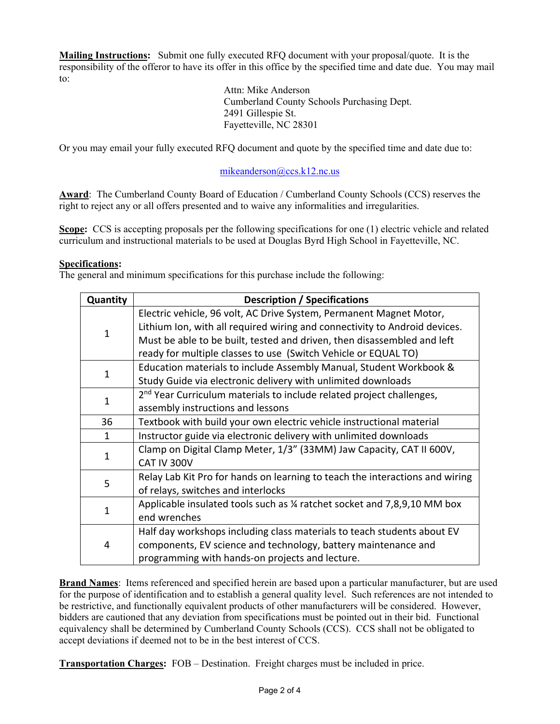**Mailing Instructions:** Submit one fully executed RFQ document with your proposal/quote. It is the responsibility of the offeror to have its offer in this office by the specified time and date due. You may mail to:

> Attn: Mike Anderson Cumberland County Schools Purchasing Dept. 2491 Gillespie St. Fayetteville, NC 28301

Or you may email your fully executed RFQ document and quote by the specified time and date due to:

## mikeanderson@ccs.k12.nc.us

**Award**: The Cumberland County Board of Education / Cumberland County Schools (CCS) reserves the right to reject any or all offers presented and to waive any informalities and irregularities.

**Scope:** CCS is accepting proposals per the following specifications for one (1) electric vehicle and related curriculum and instructional materials to be used at Douglas Byrd High School in Fayetteville, NC.

### **Specifications:**

The general and minimum specifications for this purchase include the following:

| Quantity     | <b>Description / Specifications</b>                                              |  |
|--------------|----------------------------------------------------------------------------------|--|
| $\mathbf{1}$ | Electric vehicle, 96 volt, AC Drive System, Permanent Magnet Motor,              |  |
|              | Lithium Ion, with all required wiring and connectivity to Android devices.       |  |
|              | Must be able to be built, tested and driven, then disassembled and left          |  |
|              | ready for multiple classes to use (Switch Vehicle or EQUAL TO)                   |  |
| 1            | Education materials to include Assembly Manual, Student Workbook &               |  |
|              | Study Guide via electronic delivery with unlimited downloads                     |  |
| 1            | 2 <sup>nd</sup> Year Curriculum materials to include related project challenges, |  |
|              | assembly instructions and lessons                                                |  |
| 36           | Textbook with build your own electric vehicle instructional material             |  |
| 1            | Instructor guide via electronic delivery with unlimited downloads                |  |
| 1            | Clamp on Digital Clamp Meter, 1/3" (33MM) Jaw Capacity, CAT II 600V,             |  |
|              | CAT IV 300V                                                                      |  |
| 5            | Relay Lab Kit Pro for hands on learning to teach the interactions and wiring     |  |
|              | of relays, switches and interlocks                                               |  |
| 1            | Applicable insulated tools such as % ratchet socket and 7,8,9,10 MM box          |  |
|              | end wrenches                                                                     |  |
| 4            | Half day workshops including class materials to teach students about EV          |  |
|              | components, EV science and technology, battery maintenance and                   |  |
|              | programming with hands-on projects and lecture.                                  |  |

**Brand Names**: Items referenced and specified herein are based upon a particular manufacturer, but are used for the purpose of identification and to establish a general quality level. Such references are not intended to be restrictive, and functionally equivalent products of other manufacturers will be considered. However, bidders are cautioned that any deviation from specifications must be pointed out in their bid. Functional equivalency shall be determined by Cumberland County Schools (CCS). CCS shall not be obligated to accept deviations if deemed not to be in the best interest of CCS.

**Transportation Charges:** FOB – Destination. Freight charges must be included in price.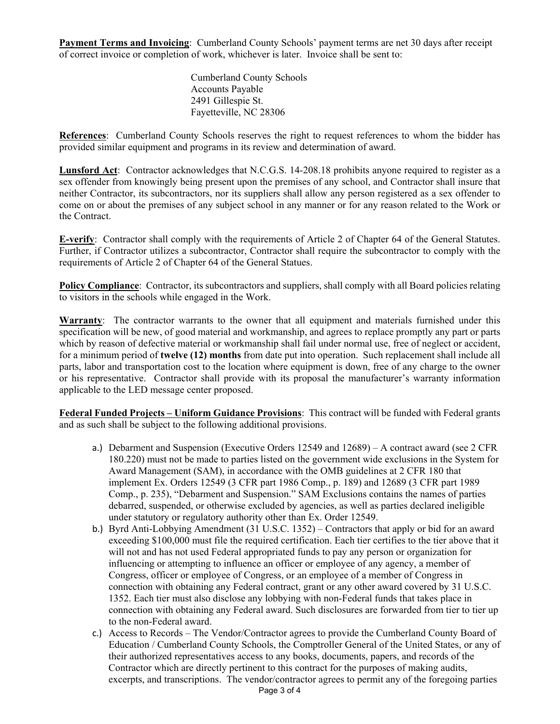**Payment Terms and Invoicing**: Cumberland County Schools' payment terms are net 30 days after receipt of correct invoice or completion of work, whichever is later. Invoice shall be sent to:

> Cumberland County Schools Accounts Payable 2491 Gillespie St. Fayetteville, NC 28306

**References**: Cumberland County Schools reserves the right to request references to whom the bidder has provided similar equipment and programs in its review and determination of award.

**Lunsford Act**: Contractor acknowledges that N.C.G.S. 14-208.18 prohibits anyone required to register as a sex offender from knowingly being present upon the premises of any school, and Contractor shall insure that neither Contractor, its subcontractors, nor its suppliers shall allow any person registered as a sex offender to come on or about the premises of any subject school in any manner or for any reason related to the Work or the Contract.

**E-verify**: Contractor shall comply with the requirements of Article 2 of Chapter 64 of the General Statutes. Further, if Contractor utilizes a subcontractor, Contractor shall require the subcontractor to comply with the requirements of Article 2 of Chapter 64 of the General Statues.

**Policy Compliance**: Contractor, its subcontractors and suppliers, shall comply with all Board policies relating to visitors in the schools while engaged in the Work.

**Warranty**: The contractor warrants to the owner that all equipment and materials furnished under this specification will be new, of good material and workmanship, and agrees to replace promptly any part or parts which by reason of defective material or workmanship shall fail under normal use, free of neglect or accident, for a minimum period of **twelve (12) months** from date put into operation. Such replacement shall include all parts, labor and transportation cost to the location where equipment is down, free of any charge to the owner or his representative. Contractor shall provide with its proposal the manufacturer's warranty information applicable to the LED message center proposed.

**Federal Funded Projects – Uniform Guidance Provisions**: This contract will be funded with Federal grants and as such shall be subject to the following additional provisions.

- a.) Debarment and Suspension (Executive Orders 12549 and 12689) A contract award (see 2 CFR 180.220) must not be made to parties listed on the government wide exclusions in the System for Award Management (SAM), in accordance with the OMB guidelines at 2 CFR 180 that implement Ex. Orders 12549 (3 CFR part 1986 Comp., p. 189) and 12689 (3 CFR part 1989 Comp., p. 235), "Debarment and Suspension." SAM Exclusions contains the names of parties debarred, suspended, or otherwise excluded by agencies, as well as parties declared ineligible under statutory or regulatory authority other than Ex. Order 12549.
- b.) Byrd Anti-Lobbying Amendment (31 U.S.C. 1352) Contractors that apply or bid for an award exceeding \$100,000 must file the required certification. Each tier certifies to the tier above that it will not and has not used Federal appropriated funds to pay any person or organization for influencing or attempting to influence an officer or employee of any agency, a member of Congress, officer or employee of Congress, or an employee of a member of Congress in connection with obtaining any Federal contract, grant or any other award covered by 31 U.S.C. 1352. Each tier must also disclose any lobbying with non-Federal funds that takes place in connection with obtaining any Federal award. Such disclosures are forwarded from tier to tier up to the non-Federal award.
- Page 3 of 4 c.) Access to Records – The Vendor/Contractor agrees to provide the Cumberland County Board of Education / Cumberland County Schools, the Comptroller General of the United States, or any of their authorized representatives access to any books, documents, papers, and records of the Contractor which are directly pertinent to this contract for the purposes of making audits, excerpts, and transcriptions. The vendor/contractor agrees to permit any of the foregoing parties